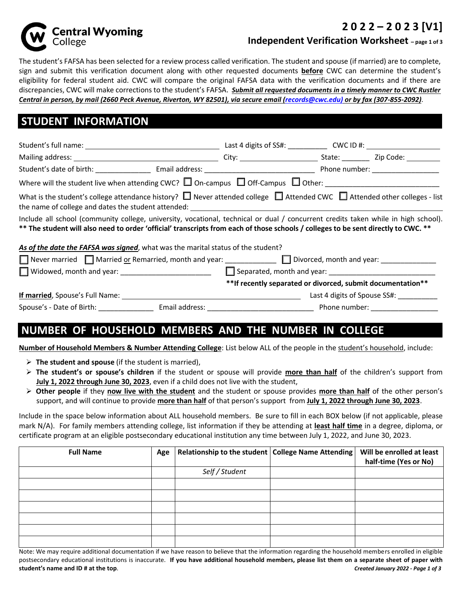

#### **2 0 2 2 – 2 0 2 3 [V1]**

**Independent Verification Worksheet – page 1 of 3**

The student's FAFSA has been selected for a review process called verification. The student and spouse (if married) are to complete, sign and submit this verification document along with other requested documents **before** CWC can determine the student's eligibility for federal student aid. CWC will compare the original FAFSA data with the verification documents and if there are discrepancies, CWC will make corrections to the student's FAFSA. *Submit all requested documents in a timely manner to CWC Rustler Central in person, by mail (2660 Peck Avenue, Riverton, WY 82501), via secure email (records@cwc.edu) or by fax (307-855-2092)*.

## **STUDENT INFORMATION**

| What is the student's college attendance history? $\Box$ Never attended college $\Box$ Attended CWC $\Box$ Attended other colleges - list<br>the name of college and dates the student attended: example and contact the name of college and dates the student attended: |  |                                                              |                                    |
|--------------------------------------------------------------------------------------------------------------------------------------------------------------------------------------------------------------------------------------------------------------------------|--|--------------------------------------------------------------|------------------------------------|
| Include all school (community college, university, vocational, technical or dual / concurrent credits taken while in high school).<br>** The student will also need to order 'official' transcripts from each of those schools / colleges to be sent directly to CWC. ** |  |                                                              |                                    |
| As of the date the FAFSA was signed, what was the marital status of the student?                                                                                                                                                                                         |  |                                                              |                                    |
| Never married Married or Remarried, month and year:<br>Never married Married or Remarried, month and year:                                                                                                                                                               |  |                                                              |                                    |
| □ Widowed, month and year: __________________________                                                                                                                                                                                                                    |  |                                                              |                                    |
|                                                                                                                                                                                                                                                                          |  | ** If recently separated or divorced, submit documentation** |                                    |
| <b>If married</b> , Spouse's Full Name: <b>All Accepts and Accepts and Accepts</b> and Accepts and Accepts and Accepts and Accepts and Accepts and Accepts and Accepts and Accepts and Accepts and Accepts and Accepts and Accepts and Ac                                |  |                                                              | Last 4 digits of Spouse SS#:       |
|                                                                                                                                                                                                                                                                          |  |                                                              | Phone number: ____________________ |

## **NUMBER OF HOUSEHOLD MEMBERS AND THE NUMBER IN COLLEGE**

**Number of Household Members & Number Attending College**: List below ALL of the people in the student's household, include:

- **The student and spouse** (if the student is married),
- **The student's or spouse's children** if the student or spouse will provide **more than half** of the children's support from **July 1, 2022 through June 30, 2023**, even if a child does not live with the student,
- **Other people** if they **now live with the student** and the student or spouse provides **more than half** of the other person's support, and will continue to provide **more than half** of that person's support from **July 1, 2022 through June 30, 2023**.

Include in the space below information about ALL household members. Be sure to fill in each BOX below (if not applicable, please mark N/A). For family members attending college, list information if they be attending at **least half time** in a degree, diploma, or certificate program at an eligible postsecondary educational institution any time between July 1, 2022, and June 30, 2023.

| <b>Full Name</b> | Age | Relationship to the student   College Name Attending | Will be enrolled at least<br>half-time (Yes or No) |
|------------------|-----|------------------------------------------------------|----------------------------------------------------|
|                  |     | Self / Student                                       |                                                    |
|                  |     |                                                      |                                                    |
|                  |     |                                                      |                                                    |
|                  |     |                                                      |                                                    |
|                  |     |                                                      |                                                    |
|                  |     |                                                      |                                                    |
|                  |     |                                                      |                                                    |

Note: We may require additional documentation if we have reason to believe that the information regarding the household members enrolled in eligible postsecondary educational institutions is inaccurate. **If you have additional household members, please list them on a separate sheet of paper with student's name and ID # at the top**. *Created January 2022 - Page 1 of 3*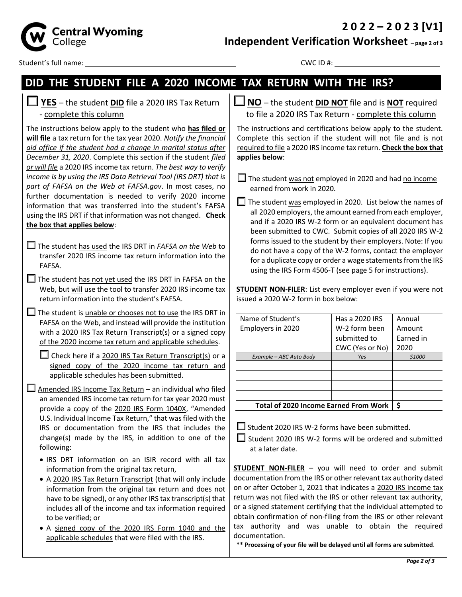**2 0 2 2 – 2 0 2 3 [V1]**



**Independent Verification Worksheet – page 2 of 3**

Student's full name: CWC ID #:

# **DID THE STUDENT FILE A 2020 INCOME TAX RETURN WITH THE IRS?**

| $\Box$ YES - the student DID file a 2020 IRS Tax Return |  |
|---------------------------------------------------------|--|
| - complete this column                                  |  |

The instructions below apply to the student who **has filed or will file** a tax return for the tax year 2020. *Notify the financial aid office if the student had a change in marital status after December 31, 2020*. Complete this section if the student *filed or will file* a 2020 IRS income tax return. *The best way to verify income is by using the IRS Data Retrieval Tool (IRS DRT) that is part of FAFSA on the Web at FAFSA.gov*. In most cases, no further documentation is needed to verify 2020 income information that was transferred into the student's FAFSA using the IRS DRT if that information was not changed. **Check the box that applies below**:

- The student has used the IRS DRT in *FAFSA on the Web* to transfer 2020 IRS income tax return information into the FAFSA*.*
- $\Box$  The student has not yet used the IRS DRT in FAFSA on the Web, but will use the tool to transfer 2020 IRS income tax return information into the student's FAFSA.
- $\Box$  The student is unable or chooses not to use the IRS DRT in FAFSA on the Web, and instead will provide the institution with a 2020 IRS Tax Return Transcript(s) or a signed copy of the 2020 income tax return and applicable schedules.

 $\Box$  Check here if a 2020 IRS Tax Return Transcript(s) or a signed copy of the 2020 income tax return and applicable schedules has been submitted.

 $\Box$  Amended IRS Income Tax Return – an individual who filed an amended IRS income tax return for tax year 2020 must provide a copy of the 2020 IRS Form 1040X, "Amended U.S. Individual Income Tax Return," that was filed with the IRS or documentation from the IRS that includes the change(s) made by the IRS, in addition to one of the following:

- IRS DRT information on an ISIR record with all tax information from the original tax return,
- A 2020 IRS Tax Return Transcript (that will only include information from the original tax return and does not have to be signed), or any other IRS tax transcript(s) that includes all of the income and tax information required to be verified; or
- A signed copy of the 2020 IRS Form 1040 and the applicable schedules that were filed with the IRS.

**NO** – the student **DID NOT** file and is **NOT** required to file a 2020 IRS Tax Return - complete this column

The instructions and certifications below apply to the student. Complete this section if the student will not file and is not required to file a 2020 IRS income tax return. **Check the box that applies below**:

 $\Box$  The student was not employed in 2020 and had no income earned from work in 2020*.*

 $\Box$  The student was employed in 2020. List below the names of all 2020 employers, the amount earned from each employer, and if a 2020 IRS W-2 form or an equivalent document has been submitted to CWC. Submit copies of all 2020 IRS W-2 forms issued to the student by their employers. Note: If you do not have a copy of the W-2 forms, contact the employer for a duplicate copy or order a wage statements from the IRS using the IRS Form 4506-T (see page 5 for instructions).

**STUDENT NON-FILER**: List every employer even if you were not issued a 2020 W-2 form in box below:

| Name of Student's                            | Has a 2020 IRS  | Annual    |
|----------------------------------------------|-----------------|-----------|
| Employers in 2020                            | W-2 form been   | Amount    |
|                                              | submitted to    | Earned in |
|                                              | CWC (Yes or No) | 2020      |
| Example - ABC Auto Body                      | Yes             | \$1000    |
|                                              |                 |           |
|                                              |                 |           |
|                                              |                 |           |
|                                              |                 |           |
| <b>Total of 2020 Income Earned From Work</b> | \$              |           |

 $\square$  Student 2020 IRS W-2 forms have been submitted.

 $\Box$  Student 2020 IRS W-2 forms will be ordered and submitted at a later date.

**STUDENT NON-FILER** – you will need to order and submit documentation from the IRS or other relevant tax authority dated on or after October 1, 2021 that indicates a 2020 IRS income tax return was not filed with the IRS or other relevant tax authority, or a signed statement certifying that the individual attempted to obtain confirmation of non-filing from the IRS or other relevant tax authority and was unable to obtain the required documentation.

**\*\* Processing of your file will be delayed until all forms are submitted**.